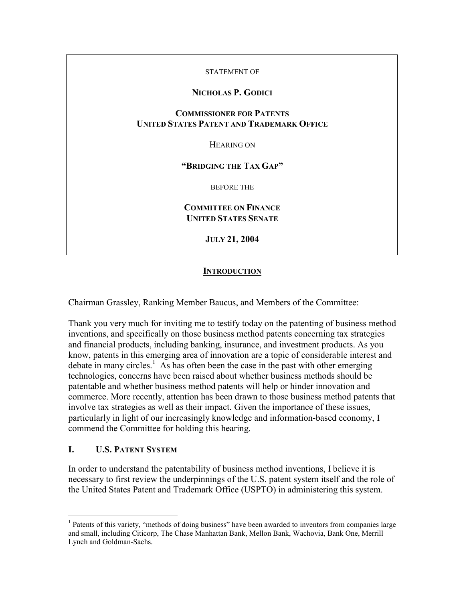#### STATEMENT OF

# **NICHOLAS P. GODICI**

# **COMMISSIONER FOR PATENTS UNITED STATES PATENT AND TRADEMARK OFFICE**

HEARING ON

**"BRIDGING THE TAX GAP"** 

BEFORE THE

**COMMITTEE ON FINANCE UNITED STATES SENATE**

**JULY 21, 2004** 

# **INTRODUCTION**

Chairman Grassley, Ranking Member Baucus, and Members of the Committee:

Thank you very much for inviting me to testify today on the patenting of business method inventions, and specifically on those business method patents concerning tax strategies and financial products, including banking, insurance, and investment products. As you know, patents in this emerging area of innovation are a topic of considerable interest and debate in many circles.<sup>[1](#page-0-0)</sup> As has often been the case in the past with other emerging technologies, concerns have been raised about whether business methods should be patentable and whether business method patents will help or hinder innovation and commerce. More recently, attention has been drawn to those business method patents that involve tax strategies as well as their impact. Given the importance of these issues, particularly in light of our increasingly knowledge and information-based economy, I commend the Committee for holding this hearing.

### **I. U.S. PATENT SYSTEM**

 $\overline{a}$ 

In order to understand the patentability of business method inventions, I believe it is necessary to first review the underpinnings of the U.S. patent system itself and the role of the United States Patent and Trademark Office (USPTO) in administering this system.

<span id="page-0-0"></span><sup>&</sup>lt;sup>1</sup> Patents of this variety, "methods of doing business" have been awarded to inventors from companies large and small, including Citicorp, The Chase Manhattan Bank, Mellon Bank, Wachovia, Bank One, Merrill Lynch and Goldman-Sachs.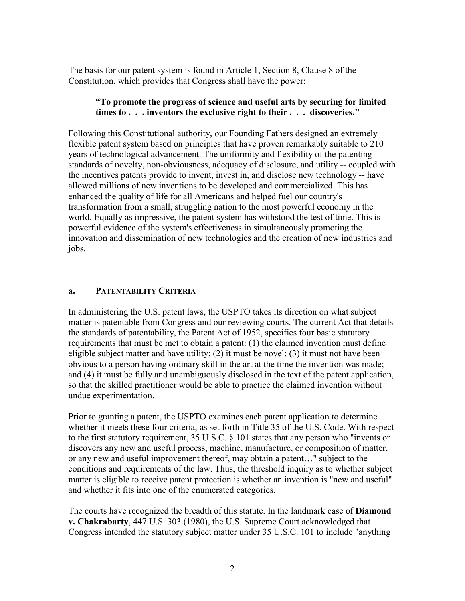The basis for our patent system is found in Article 1, Section 8, Clause 8 of the Constitution, which provides that Congress shall have the power:

# **"To promote the progress of science and useful arts by securing for limited times to . . . inventors the exclusive right to their . . . discoveries."**

Following this Constitutional authority, our Founding Fathers designed an extremely flexible patent system based on principles that have proven remarkably suitable to 210 years of technological advancement. The uniformity and flexibility of the patenting standards of novelty, non-obviousness, adequacy of disclosure, and utility -- coupled with the incentives patents provide to invent, invest in, and disclose new technology -- have allowed millions of new inventions to be developed and commercialized. This has enhanced the quality of life for all Americans and helped fuel our country's transformation from a small, struggling nation to the most powerful economy in the world. Equally as impressive, the patent system has withstood the test of time. This is powerful evidence of the system's effectiveness in simultaneously promoting the innovation and dissemination of new technologies and the creation of new industries and jobs.

# **a. PATENTABILITY CRITERIA**

In administering the U.S. patent laws, the USPTO takes its direction on what subject matter is patentable from Congress and our reviewing courts. The current Act that details the standards of patentability, the Patent Act of 1952, specifies four basic statutory requirements that must be met to obtain a patent: (1) the claimed invention must define eligible subject matter and have utility; (2) it must be novel; (3) it must not have been obvious to a person having ordinary skill in the art at the time the invention was made; and (4) it must be fully and unambiguously disclosed in the text of the patent application, so that the skilled practitioner would be able to practice the claimed invention without undue experimentation.

Prior to granting a patent, the USPTO examines each patent application to determine whether it meets these four criteria, as set forth in Title 35 of the U.S. Code. With respect to the first statutory requirement, 35 U.S.C. § 101 states that any person who "invents or discovers any new and useful process, machine, manufacture, or composition of matter, or any new and useful improvement thereof, may obtain a patent…" subject to the conditions and requirements of the law. Thus, the threshold inquiry as to whether subject matter is eligible to receive patent protection is whether an invention is "new and useful" and whether it fits into one of the enumerated categories.

The courts have recognized the breadth of this statute. In the landmark case of **Diamond v. Chakrabarty**, 447 U.S. 303 (1980), the U.S. Supreme Court acknowledged that Congress intended the statutory subject matter under 35 U.S.C. 101 to include "anything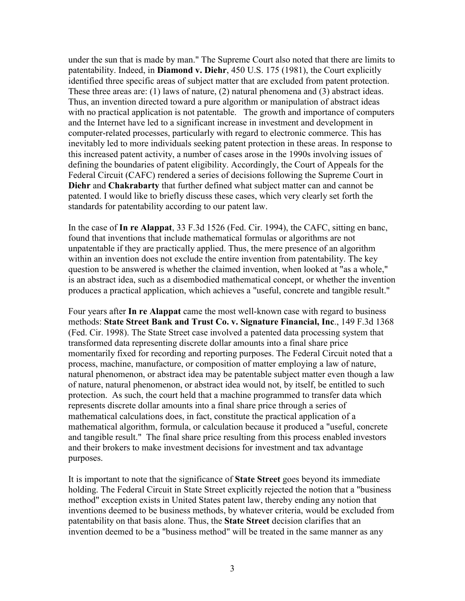under the sun that is made by man." The Supreme Court also noted that there are limits to patentability. Indeed, in **Diamond v. Diehr**, 450 U.S. 175 (1981), the Court explicitly identified three specific areas of subject matter that are excluded from patent protection. These three areas are: (1) laws of nature, (2) natural phenomena and (3) abstract ideas. Thus, an invention directed toward a pure algorithm or manipulation of abstract ideas with no practical application is not patentable. The growth and importance of computers and the Internet have led to a significant increase in investment and development in computer-related processes, particularly with regard to electronic commerce. This has inevitably led to more individuals seeking patent protection in these areas. In response to this increased patent activity, a number of cases arose in the 1990s involving issues of defining the boundaries of patent eligibility. Accordingly, the Court of Appeals for the Federal Circuit (CAFC) rendered a series of decisions following the Supreme Court in **Diehr** and **Chakrabarty** that further defined what subject matter can and cannot be patented. I would like to briefly discuss these cases, which very clearly set forth the standards for patentability according to our patent law.

In the case of **In re Alappat**, 33 F.3d 1526 (Fed. Cir. 1994), the CAFC, sitting en banc, found that inventions that include mathematical formulas or algorithms are not unpatentable if they are practically applied. Thus, the mere presence of an algorithm within an invention does not exclude the entire invention from patentability. The key question to be answered is whether the claimed invention, when looked at "as a whole," is an abstract idea, such as a disembodied mathematical concept, or whether the invention produces a practical application, which achieves a "useful, concrete and tangible result."

Four years after **In re Alappat** came the most well-known case with regard to business methods: **State Street Bank and Trust Co. v. Signature Financial, Inc**., 149 F.3d 1368 (Fed. Cir. 1998). The State Street case involved a patented data processing system that transformed data representing discrete dollar amounts into a final share price momentarily fixed for recording and reporting purposes. The Federal Circuit noted that a process, machine, manufacture, or composition of matter employing a law of nature, natural phenomenon, or abstract idea may be patentable subject matter even though a law of nature, natural phenomenon, or abstract idea would not, by itself, be entitled to such protection. As such, the court held that a machine programmed to transfer data which represents discrete dollar amounts into a final share price through a series of mathematical calculations does, in fact, constitute the practical application of a mathematical algorithm, formula, or calculation because it produced a "useful, concrete and tangible result." The final share price resulting from this process enabled investors and their brokers to make investment decisions for investment and tax advantage purposes.

It is important to note that the significance of **State Street** goes beyond its immediate holding. The Federal Circuit in State Street explicitly rejected the notion that a "business method" exception exists in United States patent law, thereby ending any notion that inventions deemed to be business methods, by whatever criteria, would be excluded from patentability on that basis alone. Thus, the **State Street** decision clarifies that an invention deemed to be a "business method" will be treated in the same manner as any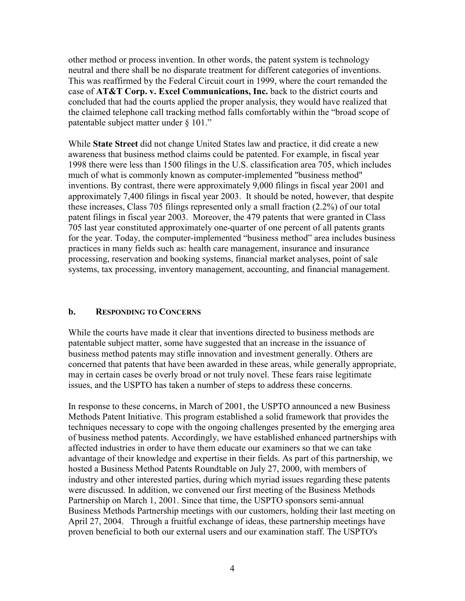other method or process invention. In other words, the patent system is technology neutral and there shall be no disparate treatment for different categories of inventions. This was reaffirmed by the Federal Circuit court in 1999, where the court remanded the case of **AT&T Corp. v. Excel Communications, Inc.** back to the district courts and concluded that had the courts applied the proper analysis, they would have realized that the claimed telephone call tracking method falls comfortably within the "broad scope of patentable subject matter under § 101."

While **State Street** did not change United States law and practice, it did create a new awareness that business method claims could be patented. For example, in fiscal year 1998 there were less than 1500 filings in the U.S. classification area 705, which includes much of what is commonly known as computer-implemented "business method" inventions. By contrast, there were approximately 9,000 filings in fiscal year 2001 and approximately 7,400 filings in fiscal year 2003. It should be noted, however, that despite these increases, Class 705 filings represented only a small fraction (2.2%) of our total patent filings in fiscal year 2003. Moreover, the 479 patents that were granted in Class 705 last year constituted approximately one-quarter of one percent of all patents grants for the year. Today, the computer-implemented "business method" area includes business practices in many fields such as: health care management, insurance and insurance processing, reservation and booking systems, financial market analyses, point of sale systems, tax processing, inventory management, accounting, and financial management.

# **b. RESPONDING TO CONCERNS**

While the courts have made it clear that inventions directed to business methods are patentable subject matter, some have suggested that an increase in the issuance of business method patents may stifle innovation and investment generally. Others are concerned that patents that have been awarded in these areas, while generally appropriate, may in certain cases be overly broad or not truly novel. These fears raise legitimate issues, and the USPTO has taken a number of steps to address these concerns.

In response to these concerns, in March of 2001, the USPTO announced a new Business Methods Patent Initiative. This program established a solid framework that provides the techniques necessary to cope with the ongoing challenges presented by the emerging area of business method patents. Accordingly, we have established enhanced partnerships with affected industries in order to have them educate our examiners so that we can take advantage of their knowledge and expertise in their fields. As part of this partnership, we hosted a Business Method Patents Roundtable on July 27, 2000, with members of industry and other interested parties, during which myriad issues regarding these patents were discussed. In addition, we convened our first meeting of the Business Methods Partnership on March 1, 2001. Since that time, the USPTO sponsors semi-annual Business Methods Partnership meetings with our customers, holding their last meeting on April 27, 2004. Through a fruitful exchange of ideas, these partnership meetings have proven beneficial to both our external users and our examination staff. The USPTO's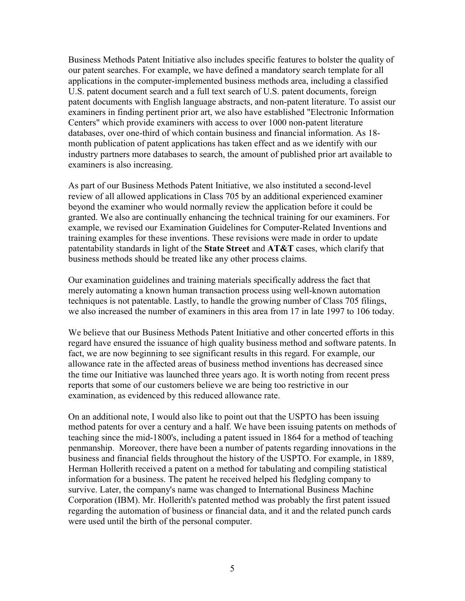Business Methods Patent Initiative also includes specific features to bolster the quality of our patent searches. For example, we have defined a mandatory search template for all applications in the computer-implemented business methods area, including a classified U.S. patent document search and a full text search of U.S. patent documents, foreign patent documents with English language abstracts, and non-patent literature. To assist our examiners in finding pertinent prior art, we also have established "Electronic Information Centers" which provide examiners with access to over 1000 non-patent literature databases, over one-third of which contain business and financial information. As 18 month publication of patent applications has taken effect and as we identify with our industry partners more databases to search, the amount of published prior art available to examiners is also increasing.

As part of our Business Methods Patent Initiative, we also instituted a second-level review of all allowed applications in Class 705 by an additional experienced examiner beyond the examiner who would normally review the application before it could be granted. We also are continually enhancing the technical training for our examiners. For example, we revised our Examination Guidelines for Computer-Related Inventions and training examples for these inventions. These revisions were made in order to update patentability standards in light of the **State Street** and **AT&T** cases, which clarify that business methods should be treated like any other process claims.

Our examination guidelines and training materials specifically address the fact that merely automating a known human transaction process using well-known automation techniques is not patentable. Lastly, to handle the growing number of Class 705 filings, we also increased the number of examiners in this area from 17 in late 1997 to 106 today.

We believe that our Business Methods Patent Initiative and other concerted efforts in this regard have ensured the issuance of high quality business method and software patents. In fact, we are now beginning to see significant results in this regard. For example, our allowance rate in the affected areas of business method inventions has decreased since the time our Initiative was launched three years ago. It is worth noting from recent press reports that some of our customers believe we are being too restrictive in our examination, as evidenced by this reduced allowance rate.

On an additional note, I would also like to point out that the USPTO has been issuing method patents for over a century and a half. We have been issuing patents on methods of teaching since the mid-1800's, including a patent issued in 1864 for a method of teaching penmanship. Moreover, there have been a number of patents regarding innovations in the business and financial fields throughout the history of the USPTO. For example, in 1889, Herman Hollerith received a patent on a method for tabulating and compiling statistical information for a business. The patent he received helped his fledgling company to survive. Later, the company's name was changed to International Business Machine Corporation (IBM). Mr. Hollerith's patented method was probably the first patent issued regarding the automation of business or financial data, and it and the related punch cards were used until the birth of the personal computer.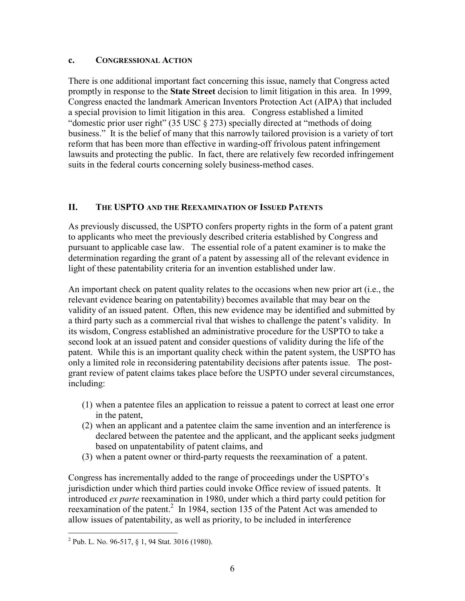### **c. CONGRESSIONAL ACTION**

There is one additional important fact concerning this issue, namely that Congress acted promptly in response to the **State Street** decision to limit litigation in this area. In 1999, Congress enacted the landmark American Inventors Protection Act (AIPA) that included a special provision to limit litigation in this area. Congress established a limited "domestic prior user right" (35 USC § 273) specially directed at "methods of doing business." It is the belief of many that this narrowly tailored provision is a variety of tort reform that has been more than effective in warding-off frivolous patent infringement lawsuits and protecting the public. In fact, there are relatively few recorded infringement suits in the federal courts concerning solely business-method cases.

# **II. THE USPTO AND THE REEXAMINATION OF ISSUED PATENTS**

As previously discussed, the USPTO confers property rights in the form of a patent grant to applicants who meet the previously described criteria established by Congress and pursuant to applicable case law. The essential role of a patent examiner is to make the determination regarding the grant of a patent by assessing all of the relevant evidence in light of these patentability criteria for an invention established under law.

An important check on patent quality relates to the occasions when new prior art (i.e., the relevant evidence bearing on patentability) becomes available that may bear on the validity of an issued patent. Often, this new evidence may be identified and submitted by a third party such as a commercial rival that wishes to challenge the patent's validity. In its wisdom, Congress established an administrative procedure for the USPTO to take a second look at an issued patent and consider questions of validity during the life of the patent. While this is an important quality check within the patent system, the USPTO has only a limited role in reconsidering patentability decisions after patents issue. The postgrant review of patent claims takes place before the USPTO under several circumstances, including:

- (1) when a patentee files an application to reissue a patent to correct at least one error in the patent,
- (2) when an applicant and a patentee claim the same invention and an interference is declared between the patentee and the applicant, and the applicant seeks judgment based on unpatentability of patent claims, and
- (3) when a patent owner or third-party requests the reexamination of a patent.

Congress has incrementally added to the range of proceedings under the USPTO's jurisdiction under which third parties could invoke Office review of issued patents. It introduced *ex parte* reexamination in 1980, under which a third party could petition for reexamination of the patent. $2 \text{ In } 1984$  $2 \text{ In } 1984$ , section 135 of the Patent Act was amended to allow issues of patentability, as well as priority, to be included in interference

 $\overline{a}$ 

<span id="page-5-0"></span><sup>&</sup>lt;sup>2</sup> Pub. L. No. 96-517, § 1, 94 Stat. 3016 (1980).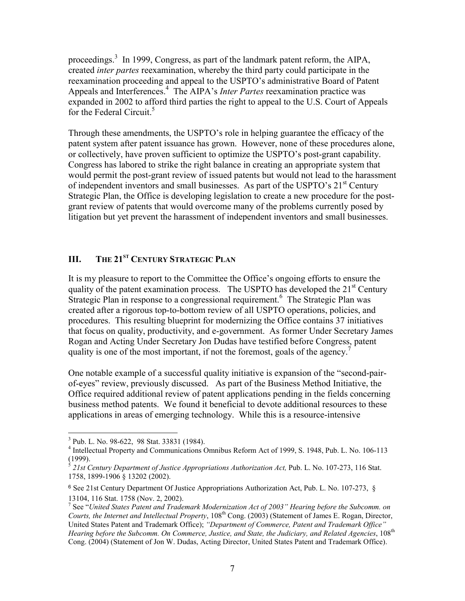proceedings.<sup>3</sup>In 1999, Congress, as part of the landmark patent reform, the AIPA, created *inter partes* reexamination, whereby the third party could participate in the reexamination proceeding and appeal to the USPTO's administrative Board of Patent Appeals and Interferences.<sup>4</sup> The AIPA's *Inter Partes* reexamination practice was expanded in 2002 to afford third parties the right to appeal to the U.S. Court of Appeals for the Federal Circuit.<sup>[5](#page-6-2)</sup>

Through these amendments, the USPTO's role in helping guarantee the efficacy of the patent system after patent issuance has grown. However, none of these procedures alone, or collectively, have proven sufficient to optimize the USPTO's post-grant capability. Congress has labored to strike the right balance in creating an appropriate system that would permit the post-grant review of issued patents but would not lead to the harassment of independent inventors and small businesses. As part of the USPTO's  $21<sup>st</sup>$  Century Strategic Plan, the Office is developing legislation to create a new procedure for the postgrant review of patents that would overcome many of the problems currently posed by litigation but yet prevent the harassment of independent inventors and small businesses.

# **III.** THE 21<sup>ST</sup> CENTURY STRATEGIC PLAN

It is my pleasure to report to the Committee the Office's ongoing efforts to ensure the quality of the patent examination process. The USPTO has developed the  $21<sup>st</sup>$  Century Strategic Plan in response to a congressional requirement.<sup>[6](#page-6-3)</sup> The Strategic Plan was created after a rigorous top-to-bottom review of all USPTO operations, policies, and procedures. This resulting blueprint for modernizing the Office contains 37 initiatives that focus on quality, productivity, and e-government. As former Under Secretary James Rogan and Acting Under Secretary Jon Dudas have testified before Congress, patent quality is one of the most important, if not the foremost, goals of the agency.<sup>[7](#page-6-4)</sup>

One notable example of a successful quality initiative is expansion of the "second-pairof-eyes" review, previously discussed. As part of the Business Method Initiative, the Office required additional review of patent applications pending in the fields concerning business method patents. We found it beneficial to devote additional resources to these applications in areas of emerging technology. While this is a resource-intensive

 $\overline{a}$ 

<span id="page-6-0"></span> $3$  Pub. L. No. 98-622, 98 Stat. 33831 (1984).

<span id="page-6-1"></span><sup>&</sup>lt;sup>4</sup> Intellectual Property and Communications Omnibus Reform Act of 1999, S. 1948, Pub. L. No. 106-113 (1999).

<span id="page-6-2"></span> $\frac{1}{2}$  21st Century Department of Justice Appropriations Authorization Act, Pub. L. No. 107-273, 116 Stat. 1758, 1899-1906 § 13202 (2002).

<span id="page-6-3"></span><sup>6</sup> See 21st Century Department Of Justice Appropriations Authorization Act, Pub. L. No. 107-273, § 13104, 116 Stat. 1758 (Nov. 2, 2002). <sup>7</sup>

<span id="page-6-4"></span>See "*United States Patent and Trademark Modernization Act of 2003" Hearing before the Subcomm. on Courts, the Internet and Intellectual Property*, 108<sup>th</sup> Cong. (2003) (Statement of James E. Rogan, Director, United States Patent and Trademark Office); *"Department of Commerce, Patent and Trademark Office" Hearing before the Subcomm. On Commerce, Justice, and State, the Judiciary, and Related Agencies*, 108<sup>th</sup> Cong. (2004) (Statement of Jon W. Dudas, Acting Director, United States Patent and Trademark Office).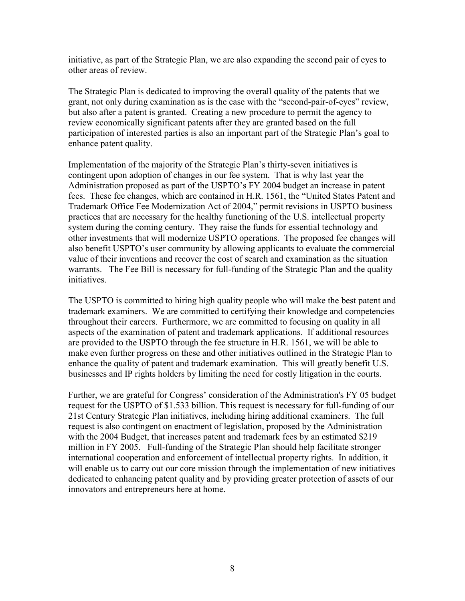initiative, as part of the Strategic Plan, we are also expanding the second pair of eyes to other areas of review.

The Strategic Plan is dedicated to improving the overall quality of the patents that we grant, not only during examination as is the case with the "second-pair-of-eyes" review, but also after a patent is granted. Creating a new procedure to permit the agency to review economically significant patents after they are granted based on the full participation of interested parties is also an important part of the Strategic Plan's goal to enhance patent quality.

Implementation of the majority of the Strategic Plan's thirty-seven initiatives is contingent upon adoption of changes in our fee system. That is why last year the Administration proposed as part of the USPTO's FY 2004 budget an increase in patent fees. These fee changes, which are contained in H.R. 1561, the "United States Patent and Trademark Office Fee Modernization Act of 2004," permit revisions in USPTO business practices that are necessary for the healthy functioning of the U.S. intellectual property system during the coming century. They raise the funds for essential technology and other investments that will modernize USPTO operations. The proposed fee changes will also benefit USPTO's user community by allowing applicants to evaluate the commercial value of their inventions and recover the cost of search and examination as the situation warrants. The Fee Bill is necessary for full-funding of the Strategic Plan and the quality initiatives.

The USPTO is committed to hiring high quality people who will make the best patent and trademark examiners. We are committed to certifying their knowledge and competencies throughout their careers. Furthermore, we are committed to focusing on quality in all aspects of the examination of patent and trademark applications. If additional resources are provided to the USPTO through the fee structure in H.R. 1561, we will be able to make even further progress on these and other initiatives outlined in the Strategic Plan to enhance the quality of patent and trademark examination. This will greatly benefit U.S. businesses and IP rights holders by limiting the need for costly litigation in the courts.

Further, we are grateful for Congress' consideration of the Administration's FY 05 budget request for the USPTO of \$1.533 billion. This request is necessary for full-funding of our 21st Century Strategic Plan initiatives, including hiring additional examiners. The full request is also contingent on enactment of legislation, proposed by the Administration with the 2004 Budget, that increases patent and trademark fees by an estimated \$219 million in FY 2005. Full-funding of the Strategic Plan should help facilitate stronger international cooperation and enforcement of intellectual property rights. In addition, it will enable us to carry out our core mission through the implementation of new initiatives dedicated to enhancing patent quality and by providing greater protection of assets of our innovators and entrepreneurs here at home.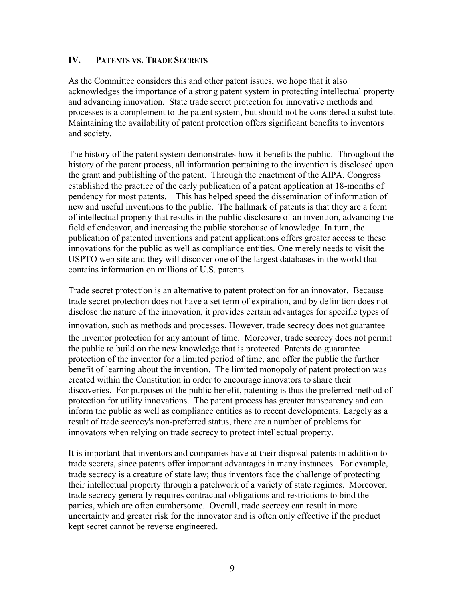# **IV. PATENTS VS. TRADE SECRETS**

As the Committee considers this and other patent issues, we hope that it also acknowledges the importance of a strong patent system in protecting intellectual property and advancing innovation. State trade secret protection for innovative methods and processes is a complement to the patent system, but should not be considered a substitute. Maintaining the availability of patent protection offers significant benefits to inventors and society.

The history of the patent system demonstrates how it benefits the public. Throughout the history of the patent process, all information pertaining to the invention is disclosed upon the grant and publishing of the patent. Through the enactment of the AIPA, Congress established the practice of the early publication of a patent application at 18-months of pendency for most patents. This has helped speed the dissemination of information of new and useful inventions to the public. The hallmark of patents is that they are a form of intellectual property that results in the public disclosure of an invention, advancing the field of endeavor, and increasing the public storehouse of knowledge. In turn, the publication of patented inventions and patent applications offers greater access to these innovations for the public as well as compliance entities. One merely needs to visit the USPTO web site and they will discover one of the largest databases in the world that contains information on millions of U.S. patents.

Trade secret protection is an alternative to patent protection for an innovator. Because trade secret protection does not have a set term of expiration, and by definition does not disclose the nature of the innovation, it provides certain advantages for specific types of innovation, such as methods and processes. However, trade secrecy does not guarantee the inventor protection for any amount of time. Moreover, trade secrecy does not permit the public to build on the new knowledge that is protected. Patents do guarantee protection of the inventor for a limited period of time, and offer the public the further benefit of learning about the invention. The limited monopoly of patent protection was created within the Constitution in order to encourage innovators to share their discoveries. For purposes of the public benefit, patenting is thus the preferred method of protection for utility innovations. The patent process has greater transparency and can inform the public as well as compliance entities as to recent developments. Largely as a result of trade secrecy's non-preferred status, there are a number of problems for innovators when relying on trade secrecy to protect intellectual property.

It is important that inventors and companies have at their disposal patents in addition to trade secrets, since patents offer important advantages in many instances. For example, trade secrecy is a creature of state law; thus inventors face the challenge of protecting their intellectual property through a patchwork of a variety of state regimes. Moreover, trade secrecy generally requires contractual obligations and restrictions to bind the parties, which are often cumbersome. Overall, trade secrecy can result in more uncertainty and greater risk for the innovator and is often only effective if the product kept secret cannot be reverse engineered.